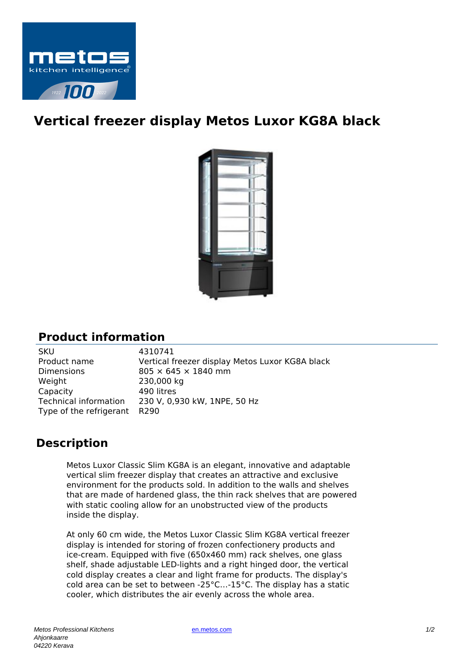

## **Vertical freezer display Metos Luxor KG8A black**



## **Product information**

| 4310741<br><b>SKU</b>                                           |  |
|-----------------------------------------------------------------|--|
| Product name<br>Vertical freezer display Metos Luxor KG8A black |  |
| Dimensions<br>$805 \times 645 \times 1840$ mm                   |  |
| Weight<br>230,000 kg                                            |  |
| Capacity<br>490 litres                                          |  |
| Technical information<br>230 V, 0,930 kW, 1NPE, 50 Hz           |  |
| Type of the refrigerant<br>R290                                 |  |

## **Description**

Metos Luxor Classic Slim KG8A is an elegant, innovative and adaptable vertical slim freezer display that creates an attractive and exclusive environment for the products sold. In addition to the walls and shelves that are made of hardened glass, the thin rack shelves that are powered with static cooling allow for an unobstructed view of the products inside the display.

At only 60 cm wide, the Metos Luxor Classic Slim KG8A vertical freezer display is intended for storing of frozen confectionery products and ice-cream. Equipped with five (650x460 mm) rack shelves, one glass shelf, shade adjustable LED-lights and a right hinged door, the vertical cold display creates a clear and light frame for products. The display's cold area can be set to between -25°C…-15°C. The display has a static cooler, which distributes the air evenly across the whole area.